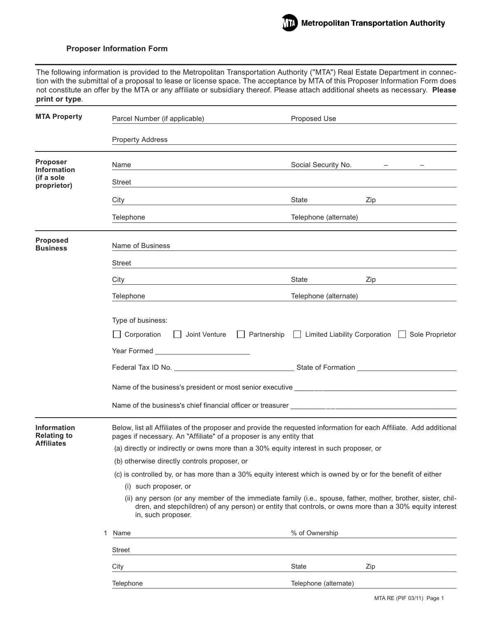

The following information is provided to the Metropolitan Transportation Authority ("MTA") Real Estate Department in connection with the submittal of a proposal to lease or license space. The acceptance by MTA of this Proposer Information Form does not constitute an offer by the MTA or any affiliate or subsidiary thereof. Please attach additional sheets as necessary. **Please print or type**.

| <b>MTA Property</b>                                           | Parcel Number (if applicable)                                                                                                                                                                                                                 | Proposed Use          |                                                            |
|---------------------------------------------------------------|-----------------------------------------------------------------------------------------------------------------------------------------------------------------------------------------------------------------------------------------------|-----------------------|------------------------------------------------------------|
|                                                               | <b>Property Address</b>                                                                                                                                                                                                                       |                       |                                                            |
| <b>Proposer</b><br><b>Information</b>                         | Name                                                                                                                                                                                                                                          | Social Security No.   | $\frac{1}{2}$ and $\frac{1}{2}$ . The $\frac{1}{2}$<br>$-$ |
| (if a sole<br>proprietor)                                     | Street                                                                                                                                                                                                                                        |                       |                                                            |
|                                                               | City                                                                                                                                                                                                                                          | State                 | Zip                                                        |
|                                                               | Telephone                                                                                                                                                                                                                                     | Telephone (alternate) |                                                            |
| <b>Proposed</b><br><b>Business</b>                            | Name of Business                                                                                                                                                                                                                              |                       |                                                            |
|                                                               | Street                                                                                                                                                                                                                                        |                       |                                                            |
|                                                               | City                                                                                                                                                                                                                                          | State                 | Zip                                                        |
|                                                               | Telephone                                                                                                                                                                                                                                     | Telephone (alternate) |                                                            |
|                                                               | Type of business:<br>□ Corporation □ Joint Venture □ Partnership □ Limited Liability Corporation □ Sole Proprietor<br>Federal Tax ID No. 2008 Communication Communication Communication Communication Communication Communication Co          |                       |                                                            |
| <b>Information</b><br><b>Relating to</b><br><b>Affiliates</b> | Below, list all Affiliates of the proposer and provide the requested information for each Affiliate. Add additional<br>pages if necessary. An "Affiliate" of a proposer is any entity that                                                    |                       |                                                            |
|                                                               | (a) directly or indirectly or owns more than a 30% equity interest in such proposer, or                                                                                                                                                       |                       |                                                            |
|                                                               | (b) otherwise directly controls proposer, or                                                                                                                                                                                                  |                       |                                                            |
|                                                               | (c) is controlled by, or has more than a 30% equity interest which is owned by or for the benefit of either<br>(i) such proposer, or                                                                                                          |                       |                                                            |
|                                                               | (ii) any person (or any member of the immediate family (i.e., spouse, father, mother, brother, sister, chil-<br>dren, and stepchildren) of any person) or entity that controls, or owns more than a 30% equity interest<br>in, such proposer. |                       |                                                            |
|                                                               | 1<br>Name                                                                                                                                                                                                                                     | % of Ownership        |                                                            |
|                                                               | <b>Street</b>                                                                                                                                                                                                                                 |                       |                                                            |
|                                                               | City                                                                                                                                                                                                                                          | <b>State</b>          | Zip                                                        |
|                                                               | Telephone                                                                                                                                                                                                                                     | Telephone (alternate) |                                                            |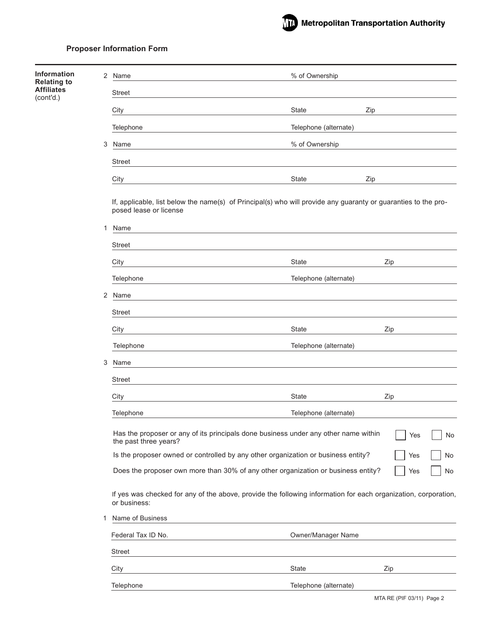| <b>Information</b>                      | $\overline{2}$ | Name                   | % of Ownership                                                                                                 |           |
|-----------------------------------------|----------------|------------------------|----------------------------------------------------------------------------------------------------------------|-----------|
| <b>Relating to</b><br><b>Affiliates</b> |                | <b>Street</b>          |                                                                                                                |           |
| (cont'd.)                               |                | City                   | <b>State</b><br>Zip                                                                                            |           |
|                                         |                | Telephone              | Telephone (alternate)                                                                                          |           |
|                                         | 3              | Name                   | % of Ownership                                                                                                 |           |
|                                         |                | <b>Street</b>          |                                                                                                                |           |
|                                         |                | City                   | <b>State</b><br>Zip                                                                                            |           |
|                                         |                |                        |                                                                                                                |           |
|                                         |                | posed lease or license | If, applicable, list below the name(s) of Principal(s) who will provide any guaranty or guaranties to the pro- |           |
|                                         | 1              | Name                   |                                                                                                                |           |
|                                         |                | <b>Street</b>          |                                                                                                                |           |
|                                         |                | City                   | State                                                                                                          | Zip       |
|                                         |                | Telephone              | Telephone (alternate)                                                                                          |           |
|                                         | 2              | Name                   |                                                                                                                |           |
|                                         |                | <b>Street</b>          |                                                                                                                |           |
|                                         |                | City                   | State                                                                                                          | Zip       |
|                                         |                | Telephone              | Telephone (alternate)                                                                                          |           |
|                                         | 3              | Name                   |                                                                                                                |           |
|                                         |                | <b>Street</b>          |                                                                                                                |           |
|                                         |                | City                   | State                                                                                                          | Zip       |
|                                         |                | Telephone              | Telephone (alternate)                                                                                          |           |
|                                         |                | the past three years?  | Has the proposer or any of its principals done business under any other name within                            | No<br>Yes |
|                                         |                |                        | Is the proposer owned or controlled by any other organization or business entity?                              | Yes<br>No |
|                                         |                |                        | Does the proposer own more than 30% of any other organization or business entity?                              | Yes<br>No |
|                                         |                | or business:           | If yes was checked for any of the above, provide the following information for each organization, corporation, |           |
|                                         | 1              | Name of Business       |                                                                                                                |           |
|                                         |                | Federal Tax ID No.     | Owner/Manager Name                                                                                             |           |
|                                         |                | Street                 |                                                                                                                |           |
|                                         |                | City                   | State                                                                                                          | Zip       |
|                                         |                | Telephone              | Telephone (alternate)                                                                                          |           |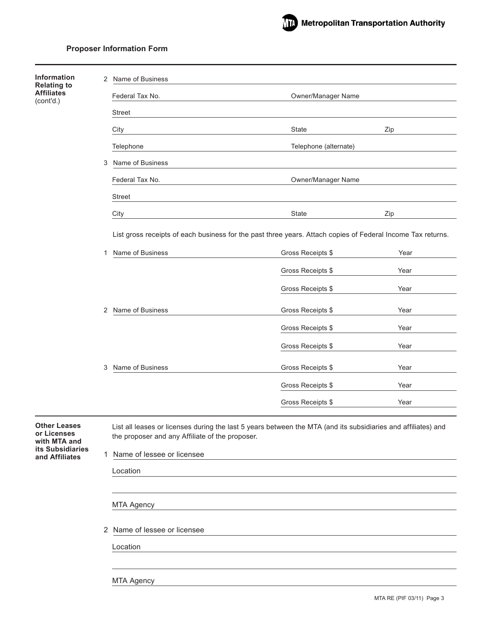

| Information                                                            | 2 | Name of Business                                                                                                                                                 |                                                                                                             |      |  |  |  |
|------------------------------------------------------------------------|---|------------------------------------------------------------------------------------------------------------------------------------------------------------------|-------------------------------------------------------------------------------------------------------------|------|--|--|--|
| <b>Relating to</b><br><b>Affiliates</b><br>(cont'd.)                   |   | Federal Tax No.                                                                                                                                                  | Owner/Manager Name                                                                                          |      |  |  |  |
|                                                                        |   | <b>Street</b>                                                                                                                                                    |                                                                                                             |      |  |  |  |
|                                                                        |   | City                                                                                                                                                             | State                                                                                                       | Zip  |  |  |  |
|                                                                        |   | Telephone                                                                                                                                                        | Telephone (alternate)                                                                                       |      |  |  |  |
|                                                                        | 3 | Name of Business                                                                                                                                                 |                                                                                                             |      |  |  |  |
|                                                                        |   | Federal Tax No.                                                                                                                                                  | Owner/Manager Name                                                                                          |      |  |  |  |
|                                                                        |   | <b>Street</b>                                                                                                                                                    |                                                                                                             |      |  |  |  |
|                                                                        |   | City                                                                                                                                                             | State                                                                                                       | Zip  |  |  |  |
|                                                                        |   |                                                                                                                                                                  | List gross receipts of each business for the past three years. Attach copies of Federal Income Tax returns. |      |  |  |  |
|                                                                        | 1 | Name of Business                                                                                                                                                 | Gross Receipts \$                                                                                           | Year |  |  |  |
|                                                                        |   |                                                                                                                                                                  | Gross Receipts \$                                                                                           | Year |  |  |  |
|                                                                        |   |                                                                                                                                                                  | Gross Receipts \$                                                                                           | Year |  |  |  |
|                                                                        |   |                                                                                                                                                                  |                                                                                                             |      |  |  |  |
|                                                                        | 2 | Name of Business                                                                                                                                                 | Gross Receipts \$                                                                                           | Year |  |  |  |
|                                                                        |   |                                                                                                                                                                  | Gross Receipts \$                                                                                           | Year |  |  |  |
|                                                                        |   |                                                                                                                                                                  | Gross Receipts \$                                                                                           | Year |  |  |  |
|                                                                        | 3 | Name of Business                                                                                                                                                 | Gross Receipts \$                                                                                           | Year |  |  |  |
|                                                                        |   |                                                                                                                                                                  | Gross Receipts \$                                                                                           | Year |  |  |  |
|                                                                        |   |                                                                                                                                                                  | Gross Receipts \$                                                                                           | Year |  |  |  |
| <b>Other Leases</b><br>or Licenses<br>with MTA and<br>its Subsidiaries |   | List all leases or licenses during the last 5 years between the MTA (and its subsidiaries and affiliates) and<br>the proposer and any Affiliate of the proposer. |                                                                                                             |      |  |  |  |
| and Affiliates                                                         |   | 1 Name of lessee or licensee                                                                                                                                     |                                                                                                             |      |  |  |  |
|                                                                        |   | Location                                                                                                                                                         |                                                                                                             |      |  |  |  |
|                                                                        |   | <b>MTA Agency</b>                                                                                                                                                |                                                                                                             |      |  |  |  |
|                                                                        |   |                                                                                                                                                                  |                                                                                                             |      |  |  |  |
|                                                                        |   | 2 Name of lessee or licensee                                                                                                                                     |                                                                                                             |      |  |  |  |
|                                                                        |   | Location                                                                                                                                                         |                                                                                                             |      |  |  |  |
|                                                                        |   |                                                                                                                                                                  |                                                                                                             |      |  |  |  |
|                                                                        |   | <b>MTA Agency</b>                                                                                                                                                |                                                                                                             |      |  |  |  |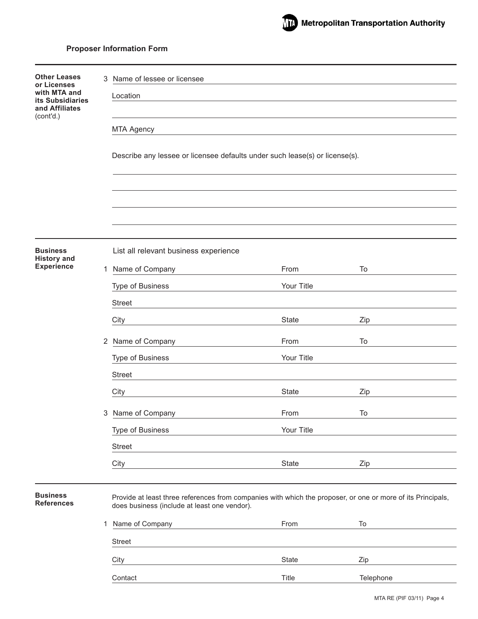

| <b>Other Leases</b>                             | 3 | Name of lessee or licensee                                                                                                                                  |              |           |  |  |
|-------------------------------------------------|---|-------------------------------------------------------------------------------------------------------------------------------------------------------------|--------------|-----------|--|--|
| or Licenses<br>with MTA and<br>its Subsidiaries |   | Location                                                                                                                                                    |              |           |  |  |
| and Affiliates<br>(cont'd.)                     |   |                                                                                                                                                             |              |           |  |  |
|                                                 |   | <b>MTA Agency</b>                                                                                                                                           |              |           |  |  |
|                                                 |   |                                                                                                                                                             |              |           |  |  |
|                                                 |   | Describe any lessee or licensee defaults under such lease(s) or license(s).                                                                                 |              |           |  |  |
|                                                 |   |                                                                                                                                                             |              |           |  |  |
|                                                 |   |                                                                                                                                                             |              |           |  |  |
|                                                 |   |                                                                                                                                                             |              |           |  |  |
|                                                 |   |                                                                                                                                                             |              |           |  |  |
| <b>Business</b><br><b>History and</b>           |   | List all relevant business experience                                                                                                                       |              |           |  |  |
| <b>Experience</b>                               |   | 1 Name of Company                                                                                                                                           | From         | To        |  |  |
|                                                 |   | Type of Business                                                                                                                                            | Your Title   |           |  |  |
|                                                 |   | <b>Street</b>                                                                                                                                               |              |           |  |  |
|                                                 |   | City                                                                                                                                                        | <b>State</b> | Zip       |  |  |
|                                                 |   | 2 Name of Company                                                                                                                                           | From         | To        |  |  |
|                                                 |   | Type of Business                                                                                                                                            | Your Title   |           |  |  |
|                                                 |   | <b>Street</b>                                                                                                                                               |              |           |  |  |
|                                                 |   | City                                                                                                                                                        | <b>State</b> | Zip       |  |  |
|                                                 | 3 | Name of Company                                                                                                                                             | From         | To        |  |  |
|                                                 |   | Type of Business                                                                                                                                            | Your Title   |           |  |  |
|                                                 |   | <b>Street</b>                                                                                                                                               |              |           |  |  |
|                                                 |   | City                                                                                                                                                        | State        | Zip       |  |  |
|                                                 |   |                                                                                                                                                             |              |           |  |  |
| <b>Business</b><br><b>References</b>            |   | Provide at least three references from companies with which the proposer, or one or more of its Principals,<br>does business (include at least one vendor). |              |           |  |  |
|                                                 | 1 | Name of Company                                                                                                                                             | From         | To        |  |  |
|                                                 |   | <b>Street</b>                                                                                                                                               |              |           |  |  |
|                                                 |   | City                                                                                                                                                        | State        | Zip       |  |  |
|                                                 |   | Contact                                                                                                                                                     | Title        | Telephone |  |  |
|                                                 |   |                                                                                                                                                             |              |           |  |  |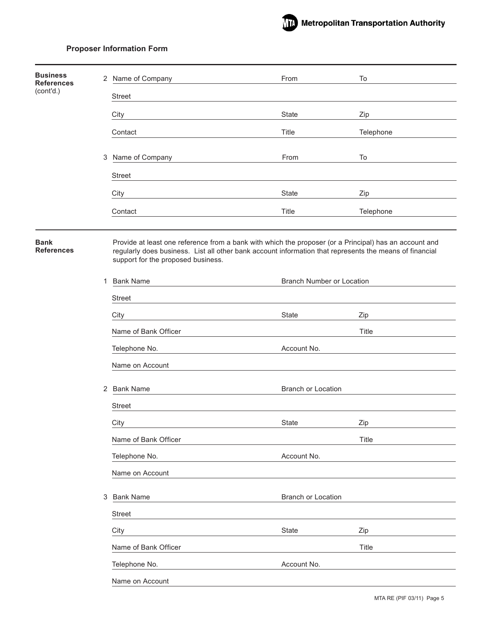

| <b>Business</b><br><b>References</b> |   | 2 Name of Company                  | From                                                                                                                                                                                                              | To        |
|--------------------------------------|---|------------------------------------|-------------------------------------------------------------------------------------------------------------------------------------------------------------------------------------------------------------------|-----------|
| (cont'd.)                            |   | <b>Street</b>                      |                                                                                                                                                                                                                   |           |
|                                      |   | City                               | State                                                                                                                                                                                                             | Zip       |
|                                      |   | Contact                            | Title                                                                                                                                                                                                             | Telephone |
|                                      |   |                                    |                                                                                                                                                                                                                   |           |
|                                      |   | 3 Name of Company                  | From                                                                                                                                                                                                              | To        |
|                                      |   | <b>Street</b>                      |                                                                                                                                                                                                                   |           |
|                                      |   | City                               | State                                                                                                                                                                                                             | Zip       |
|                                      |   | Contact                            | Title                                                                                                                                                                                                             | Telephone |
|                                      |   |                                    |                                                                                                                                                                                                                   |           |
| <b>Bank</b><br><b>References</b>     |   | support for the proposed business. | Provide at least one reference from a bank with which the proposer (or a Principal) has an account and<br>regularly does business. List all other bank account information that represents the means of financial |           |
|                                      | 1 | <b>Bank Name</b>                   | <b>Branch Number or Location</b>                                                                                                                                                                                  |           |
|                                      |   | <b>Street</b>                      |                                                                                                                                                                                                                   |           |
|                                      |   | City                               | State                                                                                                                                                                                                             | Zip       |
|                                      |   | Name of Bank Officer               |                                                                                                                                                                                                                   | Title     |
|                                      |   | Telephone No.                      | Account No.                                                                                                                                                                                                       |           |
|                                      |   | Name on Account                    |                                                                                                                                                                                                                   |           |
|                                      | 2 | <b>Bank Name</b>                   | Branch or Location                                                                                                                                                                                                |           |
|                                      |   | <b>Street</b>                      |                                                                                                                                                                                                                   |           |
|                                      |   | City                               | State                                                                                                                                                                                                             | Zip       |
|                                      |   | Name of Bank Officer               |                                                                                                                                                                                                                   | Title     |
|                                      |   | Telephone No.                      | Account No.                                                                                                                                                                                                       |           |
|                                      |   | Name on Account                    |                                                                                                                                                                                                                   |           |
|                                      | 3 | <b>Bank Name</b>                   | Branch or Location                                                                                                                                                                                                |           |
|                                      |   | Street                             |                                                                                                                                                                                                                   |           |
|                                      |   | City                               | State                                                                                                                                                                                                             | Zip       |
|                                      |   | Name of Bank Officer               |                                                                                                                                                                                                                   | Title     |
|                                      |   | Telephone No.                      | Account No.                                                                                                                                                                                                       |           |
|                                      |   | Name on Account                    |                                                                                                                                                                                                                   |           |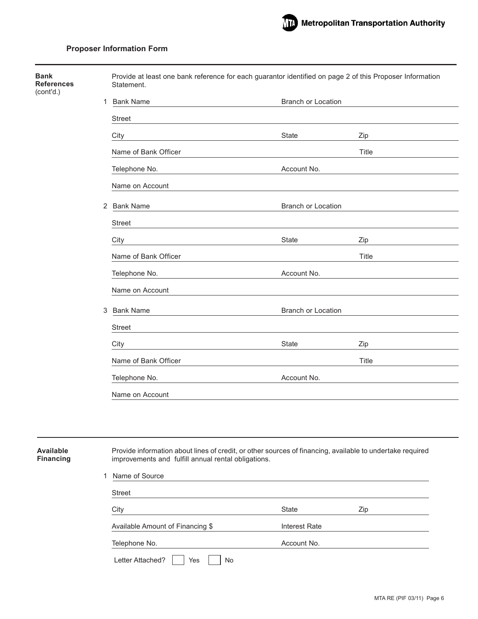| <b>Bank</b><br><b>References</b><br>(cont'd.) |   | Provide at least one bank reference for each guarantor identified on page 2 of this Proposer Information<br>Statement.                                           |                           |       |
|-----------------------------------------------|---|------------------------------------------------------------------------------------------------------------------------------------------------------------------|---------------------------|-------|
|                                               |   | 1 Bank Name                                                                                                                                                      | Branch or Location        |       |
|                                               |   | <b>Street</b>                                                                                                                                                    |                           |       |
|                                               |   | City                                                                                                                                                             | <b>State</b>              | Zip   |
|                                               |   | Name of Bank Officer                                                                                                                                             |                           | Title |
|                                               |   | Telephone No.                                                                                                                                                    | Account No.               |       |
|                                               |   | Name on Account                                                                                                                                                  |                           |       |
|                                               |   | 2 Bank Name                                                                                                                                                      | <b>Branch or Location</b> |       |
|                                               |   | Street                                                                                                                                                           |                           |       |
|                                               |   | City                                                                                                                                                             | State                     | Zip   |
|                                               |   | Name of Bank Officer                                                                                                                                             |                           | Title |
|                                               |   | Telephone No.                                                                                                                                                    | Account No.               |       |
|                                               |   | Name on Account                                                                                                                                                  |                           |       |
|                                               | 3 | <b>Bank Name</b>                                                                                                                                                 | <b>Branch or Location</b> |       |
|                                               |   | Street                                                                                                                                                           |                           |       |
|                                               |   | City                                                                                                                                                             | State                     | Zip   |
|                                               |   | Name of Bank Officer                                                                                                                                             |                           | Title |
|                                               |   | Telephone No.                                                                                                                                                    | Account No.               |       |
|                                               |   | Name on Account                                                                                                                                                  |                           |       |
|                                               |   |                                                                                                                                                                  |                           |       |
|                                               |   |                                                                                                                                                                  |                           |       |
| <b>Available</b><br><b>Financing</b>          |   | Provide information about lines of credit, or other sources of financing, available to undertake required<br>improvements and fulfill annual rental obligations. |                           |       |
|                                               |   | 1 Name of Source                                                                                                                                                 |                           |       |

| City                             | State         | Zip |
|----------------------------------|---------------|-----|
| Available Amount of Financing \$ | Interest Rate |     |
| Telephone No.                    | Account No.   |     |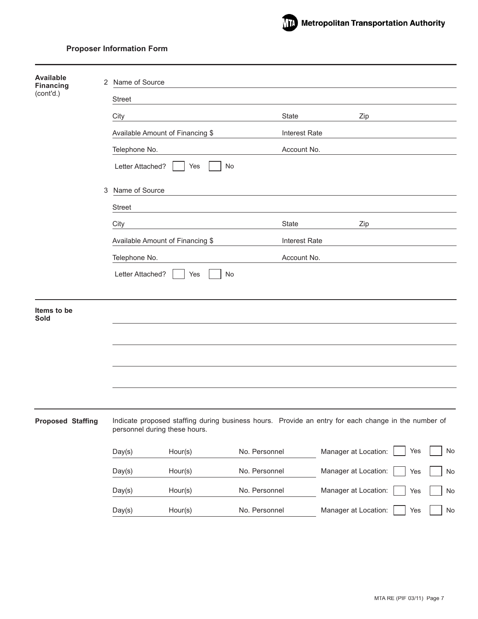

| <b>Available</b><br><b>Financing</b> | 2 | Name of Source                                                                                                                       |               |                      |                      |     |    |
|--------------------------------------|---|--------------------------------------------------------------------------------------------------------------------------------------|---------------|----------------------|----------------------|-----|----|
| (cont'd.)                            |   | <b>Street</b>                                                                                                                        |               |                      |                      |     |    |
|                                      |   | City                                                                                                                                 |               | State                | Zip                  |     |    |
|                                      |   | Available Amount of Financing \$                                                                                                     |               | <b>Interest Rate</b> |                      |     |    |
|                                      |   | Telephone No.                                                                                                                        |               | Account No.          |                      |     |    |
|                                      |   | Letter Attached?<br>No<br>Yes                                                                                                        |               |                      |                      |     |    |
|                                      | 3 | Name of Source                                                                                                                       |               |                      |                      |     |    |
|                                      |   | <b>Street</b>                                                                                                                        |               |                      |                      |     |    |
|                                      |   | City                                                                                                                                 |               | <b>State</b>         | Zip                  |     |    |
|                                      |   | Available Amount of Financing \$                                                                                                     |               | <b>Interest Rate</b> |                      |     |    |
|                                      |   | Telephone No.                                                                                                                        |               | Account No.          |                      |     |    |
|                                      |   | Letter Attached?<br>Yes<br>No                                                                                                        |               |                      |                      |     |    |
| Items to be<br><b>Sold</b>           |   |                                                                                                                                      |               |                      |                      |     |    |
|                                      |   |                                                                                                                                      |               |                      |                      |     |    |
|                                      |   |                                                                                                                                      |               |                      |                      |     |    |
|                                      |   |                                                                                                                                      |               |                      |                      |     |    |
|                                      |   |                                                                                                                                      |               |                      |                      |     |    |
| <b>Proposed Staffing</b>             |   | Indicate proposed staffing during business hours. Provide an entry for each change in the number of<br>personnel during these hours. |               |                      |                      |     |    |
|                                      |   | Day(s)<br>Hour(s)                                                                                                                    | No. Personnel |                      | Manager at Location: | Yes | No |
|                                      |   | Hour(s)<br>Day(s)                                                                                                                    | No. Personnel |                      | Manager at Location: | Yes | No |
|                                      |   | Hour(s)<br>Day(s)                                                                                                                    | No. Personnel |                      | Manager at Location: | Yes | No |
|                                      |   | Day(s)<br>Hour(s)                                                                                                                    | No. Personnel |                      | Manager at Location: | Yes | No |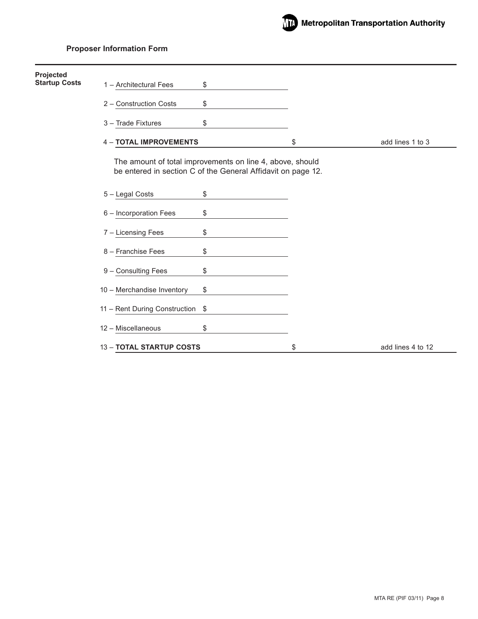

| Projected<br><b>Startup Costs</b> |                               |                                                                                                                           |                         |
|-----------------------------------|-------------------------------|---------------------------------------------------------------------------------------------------------------------------|-------------------------|
|                                   | 1 - Architectural Fees        | \$                                                                                                                        |                         |
|                                   | 2 - Construction Costs        | \$                                                                                                                        |                         |
|                                   | 3 - Trade Fixtures            | \$                                                                                                                        |                         |
|                                   | <b>4 - TOTAL IMPROVEMENTS</b> |                                                                                                                           | \$<br>add lines 1 to 3  |
|                                   |                               | The amount of total improvements on line 4, above, should<br>be entered in section C of the General Affidavit on page 12. |                         |
|                                   | 5 - Legal Costs               | \$                                                                                                                        |                         |
|                                   | 6 - Incorporation Fees        | \$                                                                                                                        |                         |
|                                   | 7 - Licensing Fees            | \$                                                                                                                        |                         |
|                                   | 8 - Franchise Fees            | \$                                                                                                                        |                         |
|                                   | 9 - Consulting Fees           | \$                                                                                                                        |                         |
|                                   | 10 - Merchandise Inventory    | \$                                                                                                                        |                         |
|                                   | 11 - Rent During Construction | \$                                                                                                                        |                         |
|                                   | 12 - Miscellaneous            | \$                                                                                                                        |                         |
|                                   | 13 - TOTAL STARTUP COSTS      |                                                                                                                           | \$<br>add lines 4 to 12 |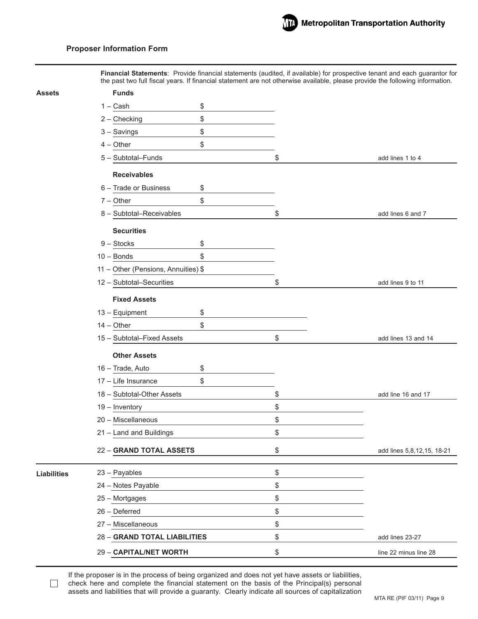

**Financial Statements**: Provide financial statements (audited, if available) for prospective tenant and each guarantor for the past two full fiscal years. If financial statement are not otherwise available, please provide the following information.

| Assets             | <b>Funds</b>                        |                                  |
|--------------------|-------------------------------------|----------------------------------|
|                    | $1 - Cash$<br>\$                    |                                  |
|                    | \$<br>$2 -$ Checking                |                                  |
|                    | \$<br>$3 -$ Savings                 |                                  |
|                    | \$<br>$4 - Other$                   |                                  |
|                    | 5 - Subtotal-Funds                  | \$<br>add lines 1 to 4           |
|                    | <b>Receivables</b>                  |                                  |
|                    | 6 - Trade or Business<br>\$         |                                  |
|                    | \$<br>$7 - Other$                   |                                  |
|                    | 8 - Subtotal-Receivables            | \$<br>add lines 6 and 7          |
|                    | <b>Securities</b>                   |                                  |
|                    | $9 - Stocks$<br>\$                  |                                  |
|                    | \$<br>$10 - Bonds$                  |                                  |
|                    | 11 - Other (Pensions, Annuities) \$ |                                  |
|                    | 12 - Subtotal-Securities            | \$<br>add lines 9 to 11          |
|                    | <b>Fixed Assets</b>                 |                                  |
|                    | 13 - Equipment<br>\$                |                                  |
|                    | $14 - Other$<br>\$                  |                                  |
|                    | 15 - Subtotal-Fixed Assets          | \$<br>add lines 13 and 14        |
|                    | <b>Other Assets</b>                 |                                  |
|                    | 16 - Trade, Auto<br>\$              |                                  |
|                    | \$<br>17 - Life Insurance           |                                  |
|                    | 18 - Subtotal-Other Assets          | \$<br>add line 16 and 17         |
|                    | 19 - Inventory                      | \$                               |
|                    | 20 - Miscellaneous                  | \$                               |
|                    | 21 - Land and Buildings             | \$                               |
|                    | 22 - GRAND TOTAL ASSETS             | \$<br>add lines 5,8,12,15, 18-21 |
| <b>Liabilities</b> | 23 - Payables                       | \$                               |
|                    | 24 - Notes Payable                  | \$                               |
|                    | 25 - Mortgages                      | \$                               |
|                    | 26 - Deferred                       | \$                               |
|                    | 27 - Miscellaneous                  | \$                               |
|                    | 28 - GRAND TOTAL LIABILITIES        | \$<br>add lines 23-27            |
|                    | 29 - CAPITAL/NET WORTH              | \$<br>line 22 minus line 28      |
|                    |                                     |                                  |

If the proposer is in the process of being organized and does not yet have assets or liabilities, check here and complete the financial statement on the basis of the Principal(s) personal assets and liabilities that will provide a guaranty. Clearly indicate all sources of capitalization

 $\Box$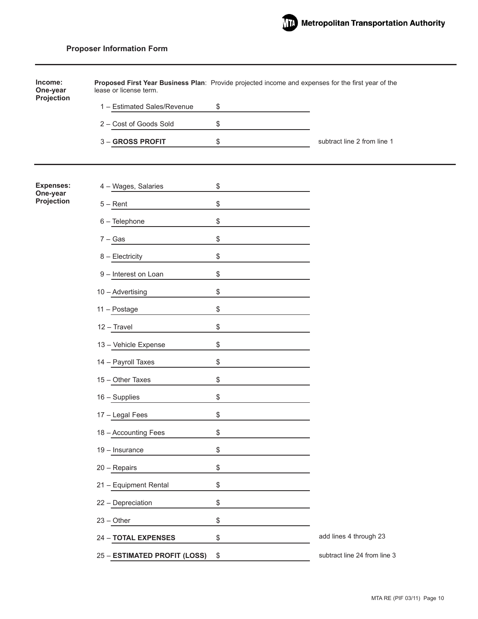| Income:<br>One-year    | Proposed First Year Business Plan: Provide projected income and expenses for the first year of the<br>lease or license term. |                                    |
|------------------------|------------------------------------------------------------------------------------------------------------------------------|------------------------------------|
| Projection             | 1 - Estimated Sales/Revenue                                                                                                  | \$                                 |
|                        | 2 - Cost of Goods Sold                                                                                                       | \$                                 |
|                        | 3 - GROSS PROFIT                                                                                                             | \$<br>subtract line 2 from line 1  |
|                        |                                                                                                                              |                                    |
| <b>Expenses:</b>       | 4 - Wages, Salaries                                                                                                          | \$                                 |
| One-year<br>Projection | $5 -$ Rent                                                                                                                   | \$                                 |
|                        | 6 - Telephone                                                                                                                | \$                                 |
|                        | $7 - Gas$                                                                                                                    | \$                                 |
|                        | 8 - Electricity                                                                                                              | \$                                 |
|                        | 9 - Interest on Loan                                                                                                         | \$                                 |
|                        | 10 - Advertising                                                                                                             | \$                                 |
|                        | 11 - Postage                                                                                                                 | \$                                 |
|                        | 12 - Travel                                                                                                                  | \$                                 |
|                        | 13 - Vehicle Expense                                                                                                         | \$                                 |
|                        | 14 - Payroll Taxes                                                                                                           | \$                                 |
|                        | 15 - Other Taxes                                                                                                             | \$                                 |
|                        | 16 - Supplies                                                                                                                | \$                                 |
|                        | 17 - Legal Fees                                                                                                              | \$                                 |
|                        | 18 - Accounting Fees                                                                                                         | \$                                 |
|                        | 19 - Insurance                                                                                                               | \$                                 |
|                        | 20 - Repairs                                                                                                                 | \$                                 |
|                        | 21 - Equipment Rental                                                                                                        | \$                                 |
|                        | 22 - Depreciation                                                                                                            | \$                                 |
|                        | $23 - Other$                                                                                                                 | \$                                 |
|                        | 24 - TOTAL EXPENSES                                                                                                          | \$<br>add lines 4 through 23       |
|                        | 25 - ESTIMATED PROFIT (LOSS)                                                                                                 | \$<br>subtract line 24 from line 3 |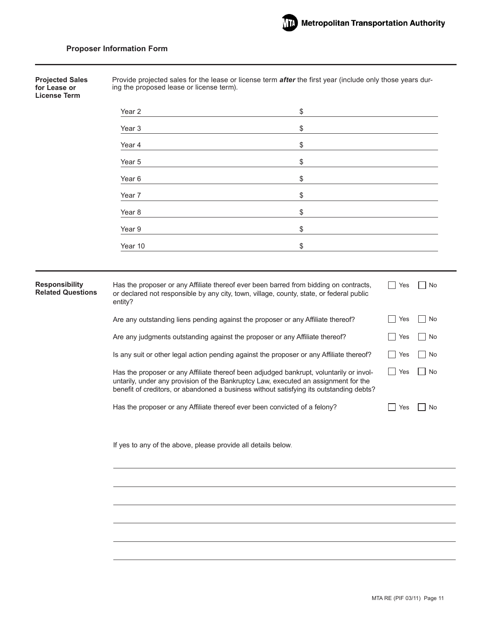Provide projected sales for the lease or license term *after* the first year (include only those years during the proposed lease or license term). Year 2  $\sim$   $\sim$   $\sim$   $\sim$ Year 3  $\sim$   $\sim$   $\sim$ Year 4  $\sim$ Year  $5 \qquad \qquad$ Year 6  $\sim$   $\sim$   $\sim$   $\sim$ Year 7  $\sim$ Year 8  $\sim$   $\sim$   $\sim$ Year 9  $\sim$   $\sim$   $\sim$   $\sim$  $Year 10$ Has the proposer or any Affiliate thereof ever been barred from bidding on contracts, or declared not responsible by any city, town, village, county, state, or federal public entity? Are any outstanding liens pending against the proposer or any Affiliate thereof? Are any judgments outstanding against the proposer or any Affiliate thereof? Is any suit or other legal action pending against the proposer or any Affiliate thereof? Has the proposer or any Affiliate thereof been adjudged bankrupt, voluntarily or involuntarily, under any provision of the Bankruptcy Law, executed an assignment for the benefit of creditors, or abandoned a business without satisfying its outstanding debts? Has the proposer or any Affiliate thereof ever been convicted of a felony? **Projected Sales for Lease or License Term**  $\Box$  Yes  $\Box$  No No Yes No  $\Box$  Yes  $\Box$  No No Res No  $\Box$  Yes  $\Box$  No  $\Box$  Yes  $\Box$  No If yes to any of the above, please provide all details below. **Responsibility Related Questions**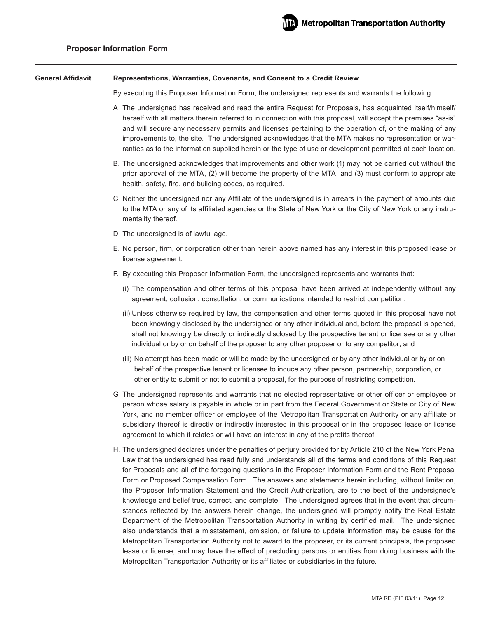#### **Representations, Warranties, Covenants, and Consent to a Credit Review General Affidavit**

By executing this Proposer Information Form, the undersigned represents and warrants the following.

- A. The undersigned has received and read the entire Request for Proposals, has acquainted itself/himself/ herself with all matters therein referred to in connection with this proposal, will accept the premises "as-is" and will secure any necessary permits and licenses pertaining to the operation of, or the making of any improvements to, the site. The undersigned acknowledges that the MTA makes no representation or warranties as to the information supplied herein or the type of use or development permitted at each location.
- B. The undersigned acknowledges that improvements and other work (1) may not be carried out without the prior approval of the MTA, (2) will become the property of the MTA, and (3) must conform to appropriate health, safety, fire, and building codes, as required.
- C. Neither the undersigned nor any Affiliate of the undersigned is in arrears in the payment of amounts due to the MTA or any of its affiliated agencies or the State of New York or the City of New York or any instrumentality thereof.
- D. The undersigned is of lawful age.
- E. No person, firm, or corporation other than herein above named has any interest in this proposed lease or license agreement.
- F. By executing this Proposer Information Form, the undersigned represents and warrants that:
	- (i) The compensation and other terms of this proposal have been arrived at independently without any agreement, collusion, consultation, or communications intended to restrict competition.
	- (ii) Unless otherwise required by law, the compensation and other terms quoted in this proposal have not been knowingly disclosed by the undersigned or any other individual and, before the proposal is opened, shall not knowingly be directly or indirectly disclosed by the prospective tenant or licensee or any other individual or by or on behalf of the proposer to any other proposer or to any competitor; and
	- (iii) No attempt has been made or will be made by the undersigned or by any other individual or by or on behalf of the prospective tenant or licensee to induce any other person, partnership, corporation, or other entity to submit or not to submit a proposal, for the purpose of restricting competition.
- G The undersigned represents and warrants that no elected representative or other officer or employee or person whose salary is payable in whole or in part from the Federal Government or State or City of New York, and no member officer or employee of the Metropolitan Transportation Authority or any affiliate or subsidiary thereof is directly or indirectly interested in this proposal or in the proposed lease or license agreement to which it relates or will have an interest in any of the profits thereof.
- H. The undersigned declares under the penalties of perjury provided for by Article 210 of the New York Penal Law that the undersigned has read fully and understands all of the terms and conditions of this Request for Proposals and all of the foregoing questions in the Proposer Information Form and the Rent Proposal Form or Proposed Compensation Form. The answers and statements herein including, without limitation, the Proposer Information Statement and the Credit Authorization, are to the best of the undersigned's knowledge and belief true, correct, and complete. The undersigned agrees that in the event that circumstances reflected by the answers herein change, the undersigned will promptly notify the Real Estate Department of the Metropolitan Transportation Authority in writing by certified mail. The undersigned also understands that a misstatement, omission, or failure to update information may be cause for the Metropolitan Transportation Authority not to award to the proposer, or its current principals, the proposed lease or license, and may have the effect of precluding persons or entities from doing business with the Metropolitan Transportation Authority or its affiliates or subsidiaries in the future.